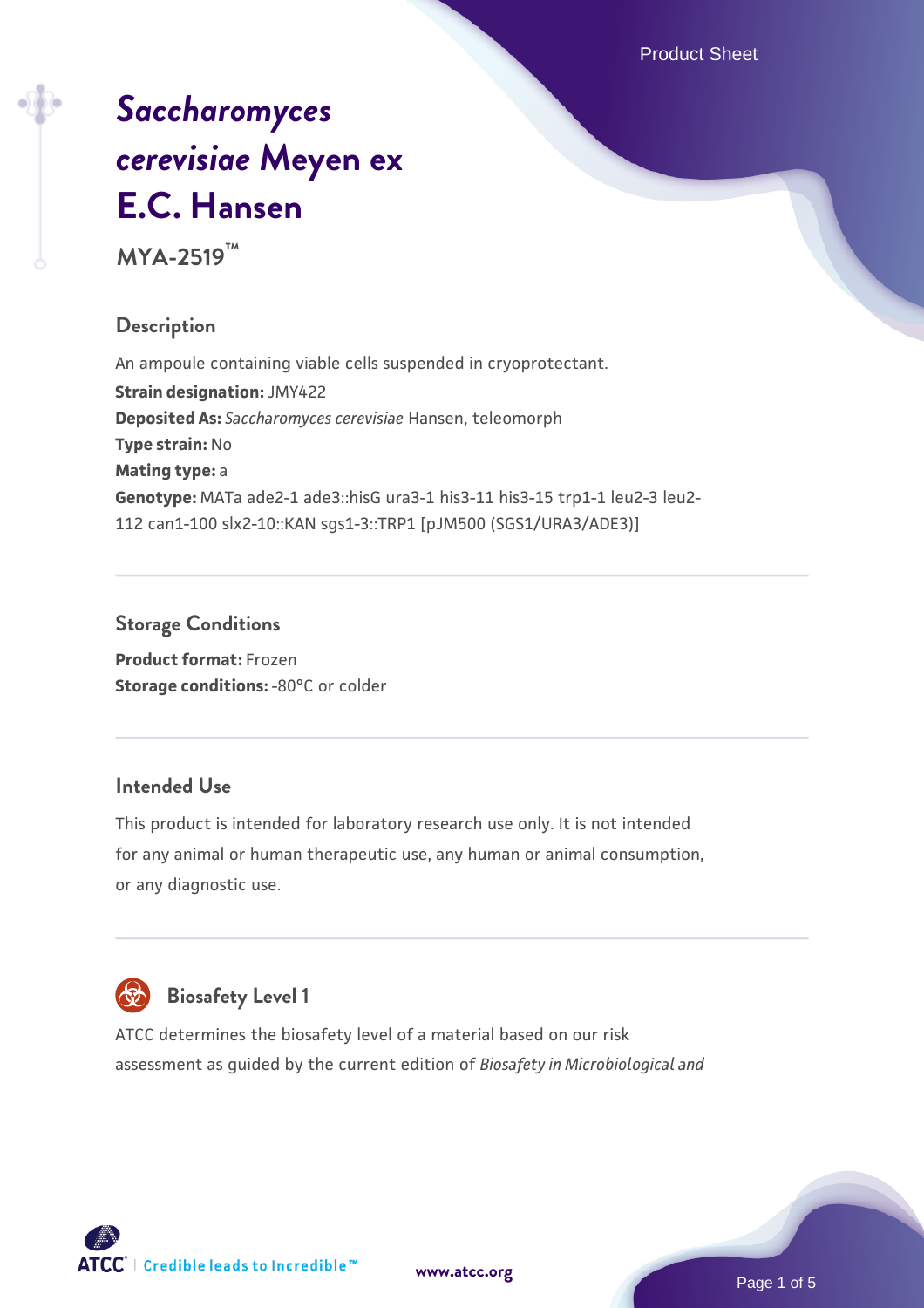Product Sheet

# *[Saccharomyces](https://www.atcc.org/products/mya-2519) [cerevisiae](https://www.atcc.org/products/mya-2519)* **[Meyen ex](https://www.atcc.org/products/mya-2519) [E.C. Hansen](https://www.atcc.org/products/mya-2519)**

**MYA-2519™**

# **Description**

An ampoule containing viable cells suspended in cryoprotectant. **Strain designation:** JMY422 **Deposited As:** *Saccharomyces cerevisiae* Hansen, teleomorph **Type strain:** No **Mating type:** a **Genotype:** MATa ade2-1 ade3::hisG ura3-1 his3-11 his3-15 trp1-1 leu2-3 leu2- 112 can1-100 slx2-10::KAN sgs1-3::TRP1 [pJM500 (SGS1/URA3/ADE3)]

## **Storage Conditions**

**Product format:** Frozen **Storage conditions: -80°C or colder** 

#### **Intended Use**

This product is intended for laboratory research use only. It is not intended for any animal or human therapeutic use, any human or animal consumption, or any diagnostic use.



# **Biosafety Level 1**

ATCC determines the biosafety level of a material based on our risk assessment as guided by the current edition of *Biosafety in Microbiological and*

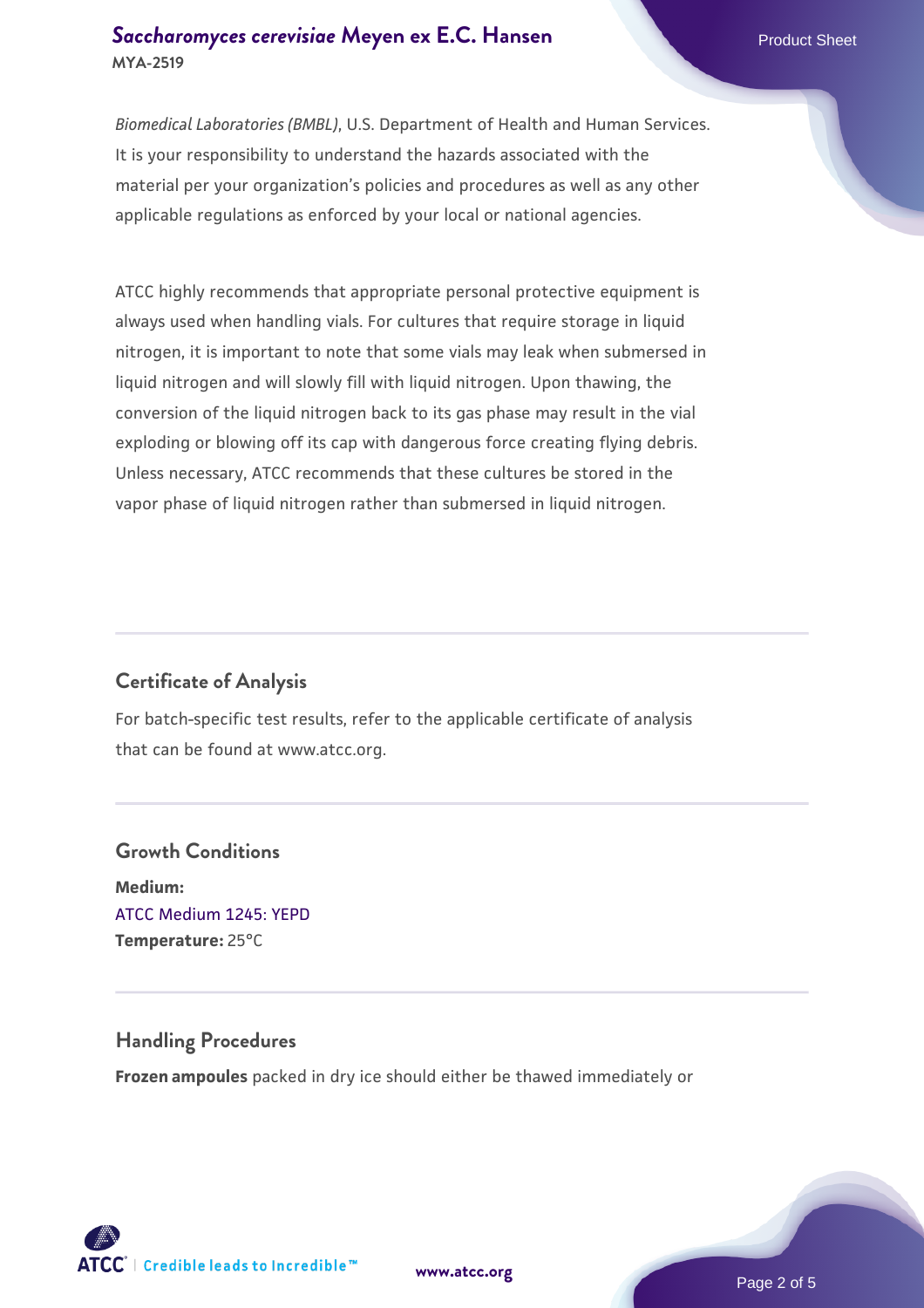### **[Saccharomyces cerevisiae](https://www.atcc.org/products/mya-2519)** [Meyen ex E.C. Hansen](https://www.atcc.org/products/mya-2519) **MYA-2519**

*Biomedical Laboratories (BMBL)*, U.S. Department of Health and Human Services. It is your responsibility to understand the hazards associated with the material per your organization's policies and procedures as well as any other applicable regulations as enforced by your local or national agencies.

ATCC highly recommends that appropriate personal protective equipment is always used when handling vials. For cultures that require storage in liquid nitrogen, it is important to note that some vials may leak when submersed in liquid nitrogen and will slowly fill with liquid nitrogen. Upon thawing, the conversion of the liquid nitrogen back to its gas phase may result in the vial exploding or blowing off its cap with dangerous force creating flying debris. Unless necessary, ATCC recommends that these cultures be stored in the vapor phase of liquid nitrogen rather than submersed in liquid nitrogen.

# **Certificate of Analysis**

For batch-specific test results, refer to the applicable certificate of analysis that can be found at www.atcc.org.

# **Growth Conditions Medium:**  [ATCC Medium 1245: YEPD](https://www.atcc.org/-/media/product-assets/documents/microbial-media-formulations/1/2/4/5/atcc-medium-1245.pdf?rev=705ca55d1b6f490a808a965d5c072196) **Temperature:** 25°C

# **Handling Procedures**

**Frozen ampoules** packed in dry ice should either be thawed immediately or



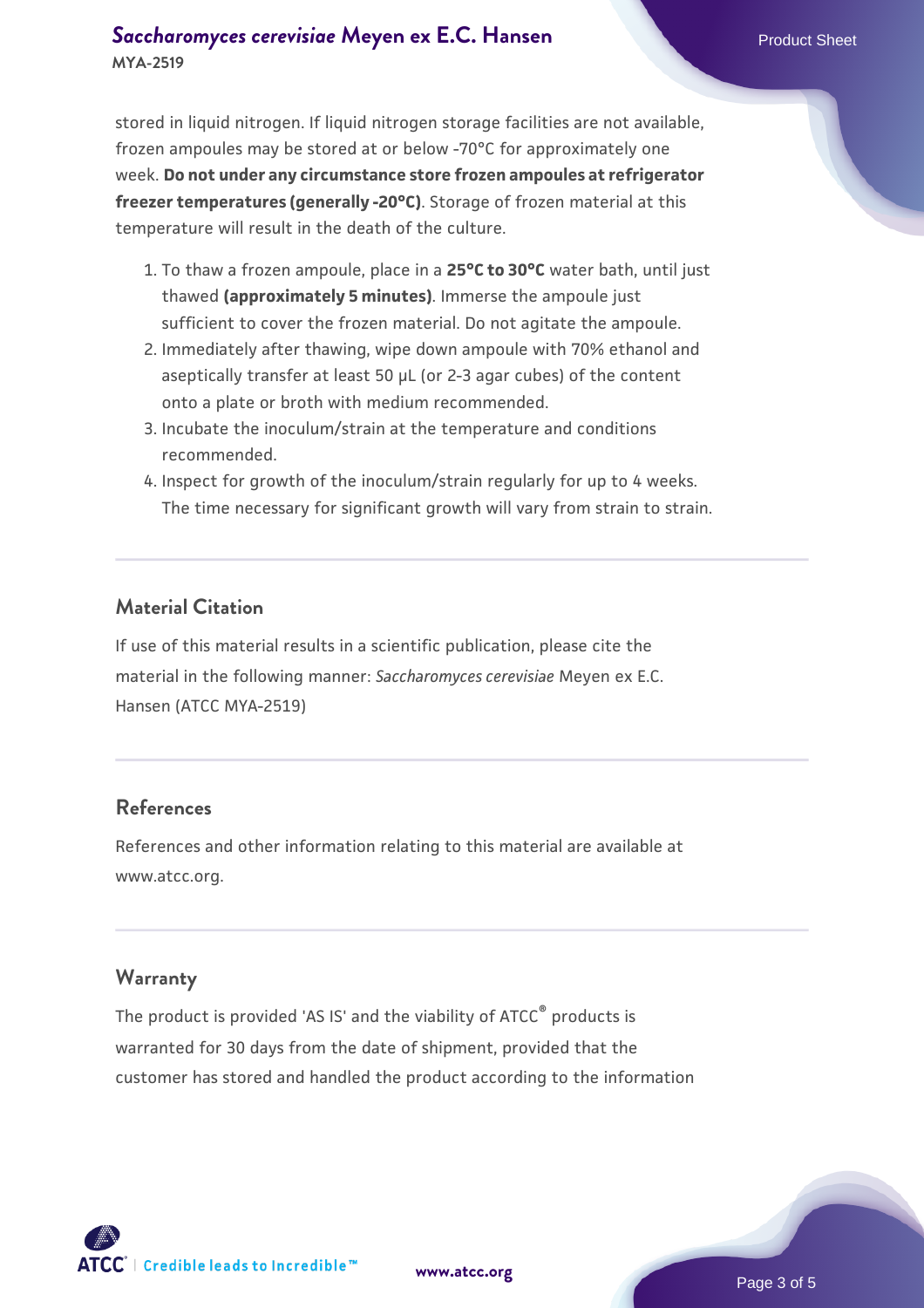## **[Saccharomyces cerevisiae](https://www.atcc.org/products/mya-2519)** [Meyen ex E.C. Hansen](https://www.atcc.org/products/mya-2519) **MYA-2519**

stored in liquid nitrogen. If liquid nitrogen storage facilities are not available, frozen ampoules may be stored at or below -70°C for approximately one week. **Do not under any circumstance store frozen ampoules at refrigerator freezer temperatures (generally -20°C)**. Storage of frozen material at this temperature will result in the death of the culture.

- 1. To thaw a frozen ampoule, place in a **25°C to 30°C** water bath, until just thawed **(approximately 5 minutes)**. Immerse the ampoule just sufficient to cover the frozen material. Do not agitate the ampoule.
- 2. Immediately after thawing, wipe down ampoule with 70% ethanol and aseptically transfer at least 50 µL (or 2-3 agar cubes) of the content onto a plate or broth with medium recommended.
- 3. Incubate the inoculum/strain at the temperature and conditions recommended.
- 4. Inspect for growth of the inoculum/strain regularly for up to 4 weeks. The time necessary for significant growth will vary from strain to strain.

## **Material Citation**

If use of this material results in a scientific publication, please cite the material in the following manner: *Saccharomyces cerevisiae* Meyen ex E.C. Hansen (ATCC MYA-2519)

#### **References**

References and other information relating to this material are available at www.atcc.org.

#### **Warranty**

The product is provided 'AS IS' and the viability of ATCC® products is warranted for 30 days from the date of shipment, provided that the customer has stored and handled the product according to the information

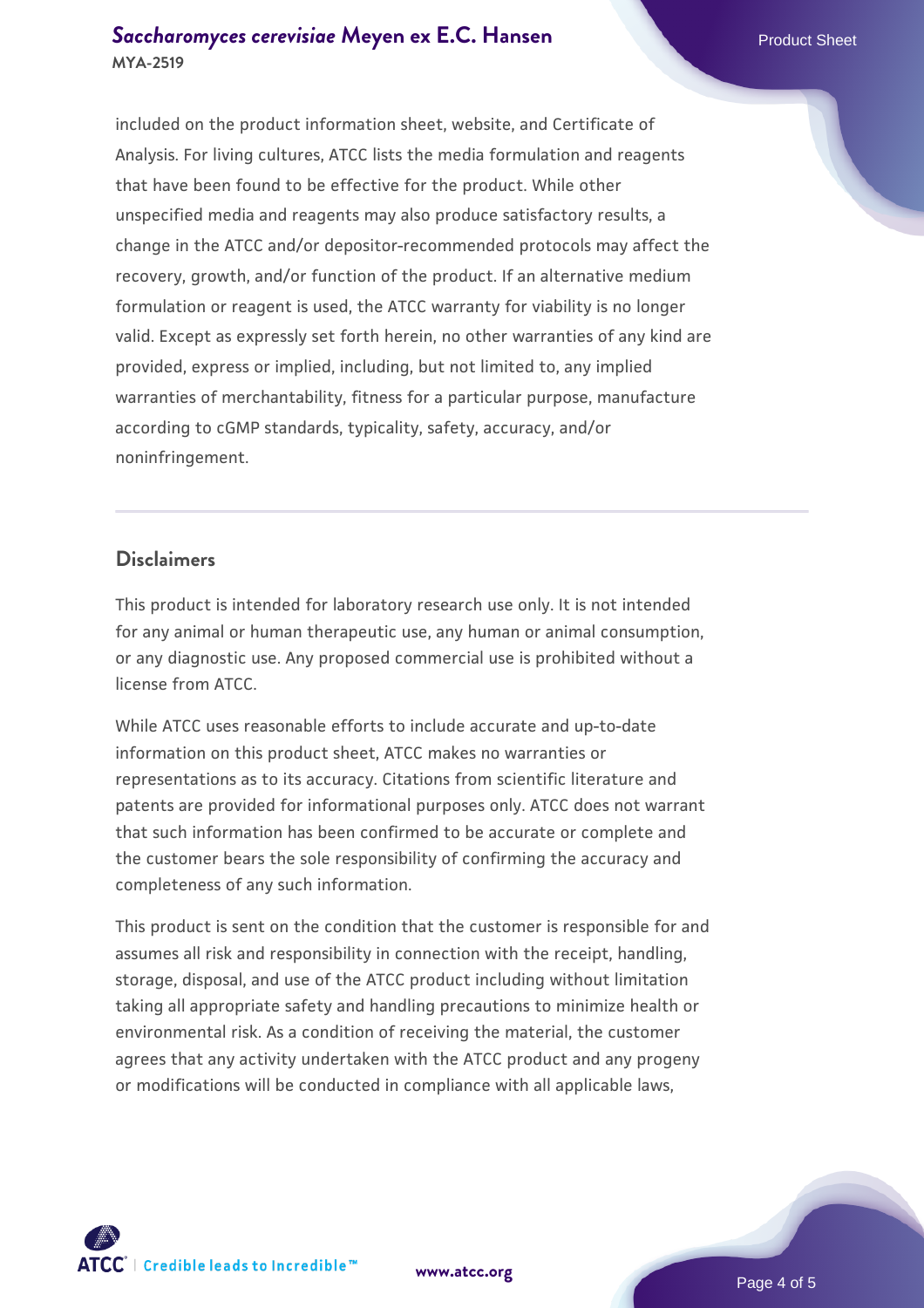### **[Saccharomyces cerevisiae](https://www.atcc.org/products/mya-2519)** [Meyen ex E.C. Hansen](https://www.atcc.org/products/mya-2519) **MYA-2519**

included on the product information sheet, website, and Certificate of Analysis. For living cultures, ATCC lists the media formulation and reagents that have been found to be effective for the product. While other unspecified media and reagents may also produce satisfactory results, a change in the ATCC and/or depositor-recommended protocols may affect the recovery, growth, and/or function of the product. If an alternative medium formulation or reagent is used, the ATCC warranty for viability is no longer valid. Except as expressly set forth herein, no other warranties of any kind are provided, express or implied, including, but not limited to, any implied warranties of merchantability, fitness for a particular purpose, manufacture according to cGMP standards, typicality, safety, accuracy, and/or noninfringement.

#### **Disclaimers**

This product is intended for laboratory research use only. It is not intended for any animal or human therapeutic use, any human or animal consumption, or any diagnostic use. Any proposed commercial use is prohibited without a license from ATCC.

While ATCC uses reasonable efforts to include accurate and up-to-date information on this product sheet, ATCC makes no warranties or representations as to its accuracy. Citations from scientific literature and patents are provided for informational purposes only. ATCC does not warrant that such information has been confirmed to be accurate or complete and the customer bears the sole responsibility of confirming the accuracy and completeness of any such information.

This product is sent on the condition that the customer is responsible for and assumes all risk and responsibility in connection with the receipt, handling, storage, disposal, and use of the ATCC product including without limitation taking all appropriate safety and handling precautions to minimize health or environmental risk. As a condition of receiving the material, the customer agrees that any activity undertaken with the ATCC product and any progeny or modifications will be conducted in compliance with all applicable laws,



**[www.atcc.org](http://www.atcc.org)**

Page 4 of 5